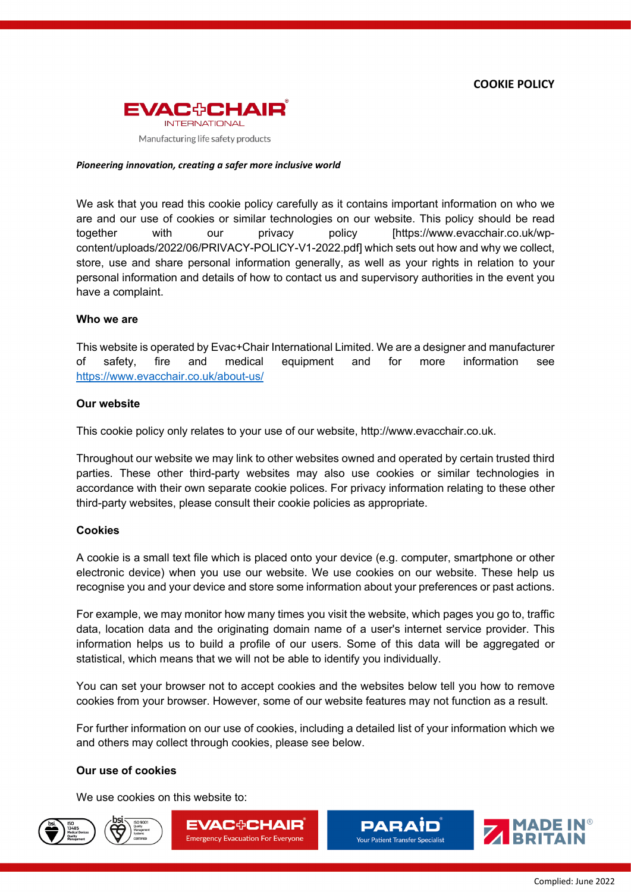

#### *Pioneering innovation, creating a safer more inclusive world*

We ask that you read this cookie policy carefully as it contains important information on who we are and our use of cookies or similar technologies on our website. This policy should be read together with our privacy policy [https://www.evacchair.co.uk/wpcontent/uploads/2022/06/PRIVACY-POLICY-V1-2022.pdf] which sets out how and why we collect, store, use and share personal information generally, as well as your rights in relation to your personal information and details of how to contact us and supervisory authorities in the event you have a complaint.

#### **Who we are**

This website is operated by Evac+Chair International Limited. We are a designer and manufacturer of safety, fire and medical equipment and for more information see <https://www.evacchair.co.uk/about-us/>

#### **Our website**

This cookie policy only relates to your use of our website, http://www.evacchair.co.uk.

Throughout our website we may link to other websites owned and operated by certain trusted third parties. These other third-party websites may also use cookies or similar technologies in accordance with their own separate cookie polices. For privacy information relating to these other third-party websites, please consult their cookie policies as appropriate.

#### **Cookies**

A cookie is a small text file which is placed onto your device (e.g. computer, smartphone or other electronic device) when you use our website. We use cookies on our website. These help us recognise you and your device and store some information about your preferences or past actions.

For example, we may monitor how many times you visit the website, which pages you go to, traffic data, location data and the originating domain name of a user's internet service provider. This information helps us to build a profile of our users. Some of this data will be aggregated or statistical, which means that we will not be able to identify you individually.

You can set your browser not to accept cookies and the websites below tell you how to remove cookies from your browser. However, some of our website features may not function as a result.

For further information on our use of cookies, including a detailed list of your information which we and others may collect through cookies, please see below.

#### **Our use of cookies**

We use cookies on this website to:









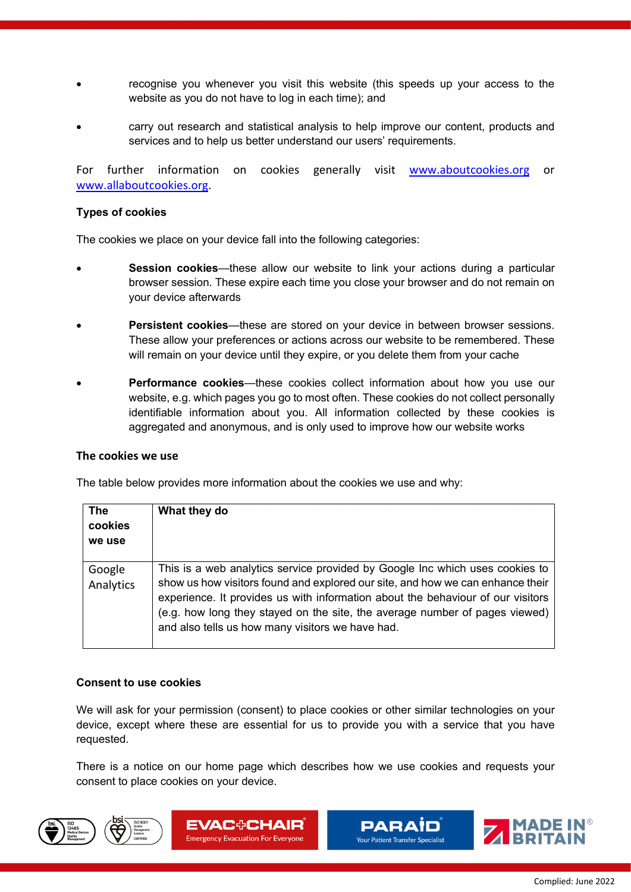- recognise you whenever you visit this website (this speeds up your access to the website as you do not have to log in each time); and
- carry out research and statistical analysis to help improve our content, products and services and to help us better understand our users' requirements.

For further information on cookies generally visit www.aboutcookies.org or www.allaboutcookies.org.

## **Types of cookies**

The cookies we place on your device fall into the following categories:

- **Session cookies**—these allow our website to link your actions during a particular browser session. These expire each time you close your browser and do not remain on your device afterwards
- **Persistent cookies**—these are stored on your device in between browser sessions. These allow your preferences or actions across our website to be remembered. These will remain on your device until they expire, or you delete them from your cache
- **Performance cookies**—these cookies collect information about how you use our website, e.g. which pages you go to most often. These cookies do not collect personally identifiable information about you. All information collected by these cookies is aggregated and anonymous, and is only used to improve how our website works

### **The cookies we use**

The table below provides more information about the cookies we use and why:

| <b>The</b><br>cookies<br>we use | What they do                                                                                                                                                                                                                                                                                                                                                                         |
|---------------------------------|--------------------------------------------------------------------------------------------------------------------------------------------------------------------------------------------------------------------------------------------------------------------------------------------------------------------------------------------------------------------------------------|
| Google<br>Analytics             | This is a web analytics service provided by Google Inc which uses cookies to<br>show us how visitors found and explored our site, and how we can enhance their<br>experience. It provides us with information about the behaviour of our visitors<br>(e.g. how long they stayed on the site, the average number of pages viewed)<br>and also tells us how many visitors we have had. |

# **Consent to use cookies**

We will ask for your permission (consent) to place cookies or other similar technologies on your device, except where these are essential for us to provide you with a service that you have requested.

There is a notice on our home page which describes how we use cookies and requests your consent to place cookies on your device.